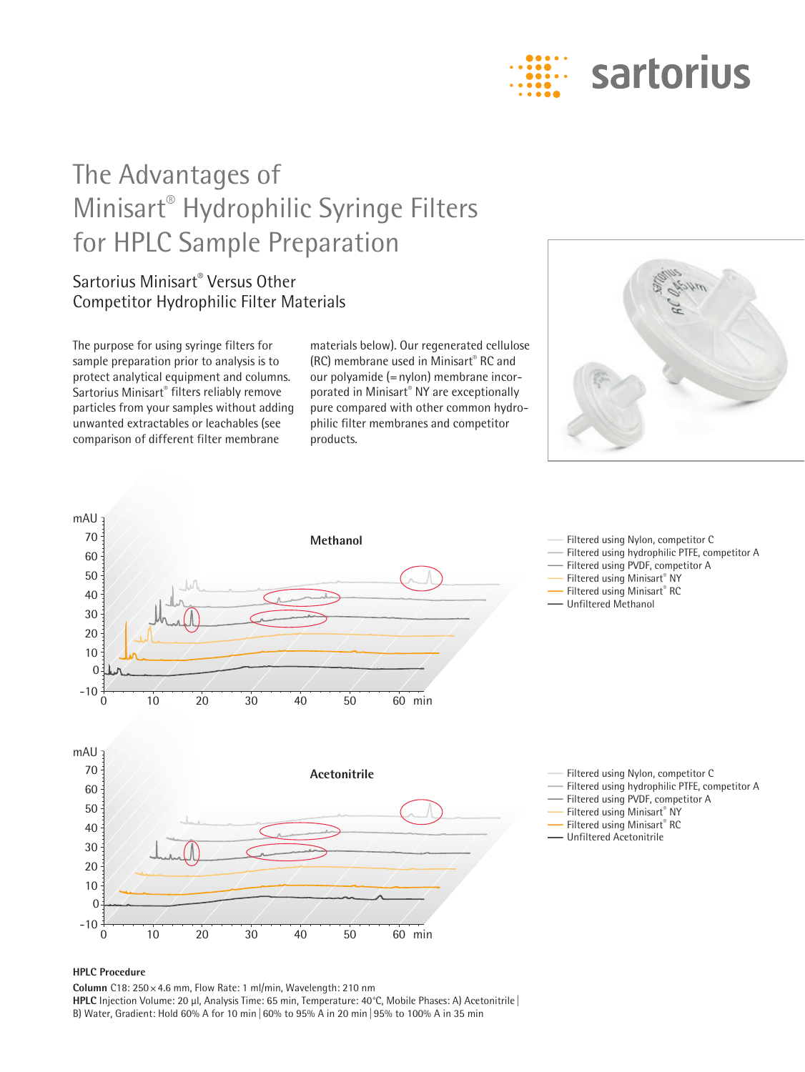

# The Advantages of Minisart® Hydrophilic Syringe Filters for HPLC Sample Preparation

### Sartorius Minisart® Versus Other Competitor Hydrophilic Filter Materials

The purpose for using syringe filters for sample preparation prior to analysis is to protect analytical equipment and columns. Sartorius Minisart® filters reliably remove particles from your samples without adding unwanted extractables or leachables (see comparison of different filter membrane

materials below). Our regenerated cellulose (RC) membrane used in Minisart® RC and our polyamide (=nylon) membrane incorporated in Minisart® NY are exceptionally pure compared with other common hydrophilic filter membranes and competitor products.





#### **HPLC Procedure**

**Column** C18: 250×4.6 mm, Flow Rate: 1 ml/min, Wavelength: 210 nm **HPLC** Injection Volume: 20 µl, Analysis Time: 65 min, Temperature: 40°C, Mobile Phases: A) Acetonitrile | B) Water, Gradient: Hold 60% A for 10 min|60% to 95% A in 20 min|95% to 100% A in 35 min